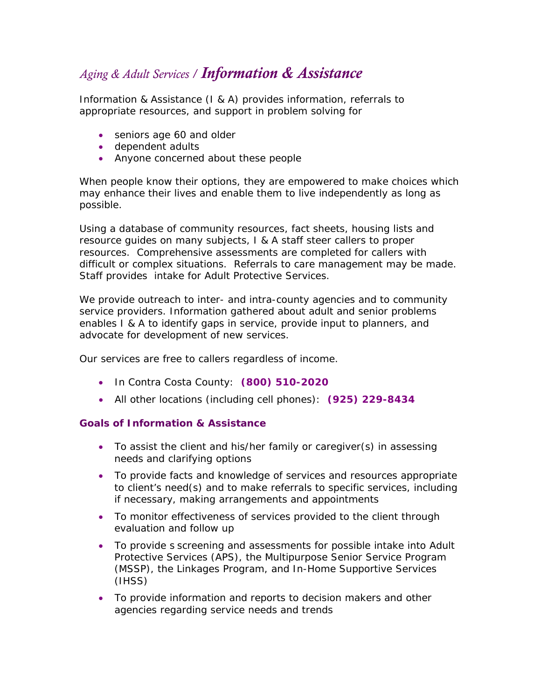## *Aging & Adult Services / Information & Assistance*

Information & Assistance (I & A) provides information, referrals to appropriate resources, and support in problem solving for

- seniors age 60 and older
- dependent adults
- Anyone concerned about these people

When people know their options, they are empowered to make choices which may enhance their lives and enable them to live independently as long as possible.

Using a database of community resources, fact sheets, housing lists and resource guides on many subjects, I & A staff steer callers to proper resources. Comprehensive assessments are completed for callers with difficult or complex situations. Referrals to care management may be made. Staff provides intake for Adult Protective Services.

We provide outreach to inter- and intra-county agencies and to community service providers. Information gathered about adult and senior problems enables I & A to identify gaps in service, provide input to planners, and advocate for development of new services.

Our services are free to callers regardless of income.

- In Contra Costa County: **(800) 510-2020**
- All other locations (including cell phones): **(925) 229-8434**

## **Goals of Information & Assistance**

- To assist the client and his/her family or caregiver(s) in assessing needs and clarifying options
- To provide facts and knowledge of services and resources appropriate to client's need(s) and to make referrals to specific services, including if necessary, making arrangements and appointments
- To monitor effectiveness of services provided to the client through evaluation and follow up
- To provide s screening and assessments for possible intake into Adult Protective Services (APS), the Multipurpose Senior Service Program (MSSP), the Linkages Program, and In-Home Supportive Services (IHSS)
- To provide information and reports to decision makers and other agencies regarding service needs and trends